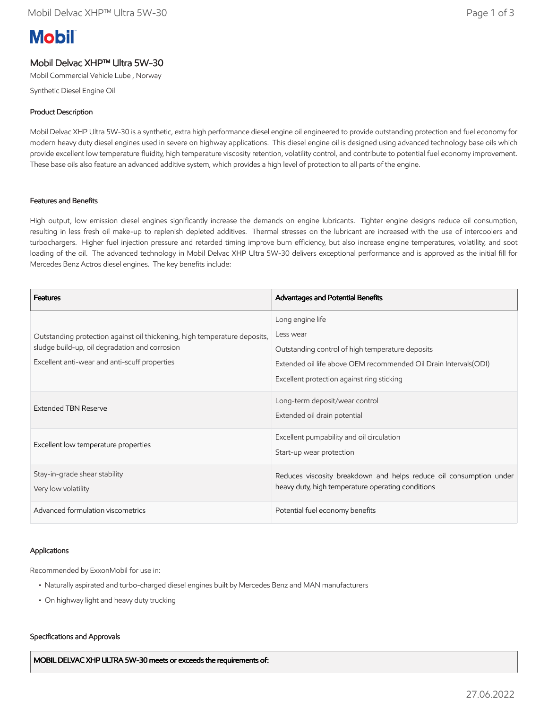# **Mobil**

## Mobil Delvac XHP™ Ultra 5W-30

Mobil Commercial Vehicle Lube , Norway

Synthetic Diesel Engine Oil

## Product Description

Mobil Delvac XHP Ultra 5W-30 is a synthetic, extra high performance diesel engine oil engineered to provide outstanding protection and fuel economy for modern heavy duty diesel engines used in severe on highway applications. This diesel engine oil is designed using advanced technology base oils which provide excellent low temperature fluidity, high temperature viscosity retention, volatility control, and contribute to potential fuel economy improvement. These base oils also feature an advanced additive system, which provides a high level of protection to all parts of the engine.

## Features and Benefits

High output, low emission diesel engines significantly increase the demands on engine lubricants. Tighter engine designs reduce oil consumption, resulting in less fresh oil make-up to replenish depleted additives. Thermal stresses on the lubricant are increased with the use of intercoolers and turbochargers. Higher fuel injection pressure and retarded timing improve burn efficiency, but also increase engine temperatures, volatility, and soot loading of the oil. The advanced technology in Mobil Delvac XHP Ultra 5W-30 delivers exceptional performance and is approved as the initial fill for Mercedes Benz Actros diesel engines. The key benefits include:

| <b>Features</b>                                                                                                                                                              | Advantages and Potential Benefits                                  |
|------------------------------------------------------------------------------------------------------------------------------------------------------------------------------|--------------------------------------------------------------------|
| Outstanding protection against oil thickening, high temperature deposits,<br>sludge build-up, oil degradation and corrosion<br>Excellent anti-wear and anti-scuff properties | Long engine life                                                   |
|                                                                                                                                                                              | Less wear                                                          |
|                                                                                                                                                                              | Outstanding control of high temperature deposits                   |
|                                                                                                                                                                              | Extended oil life above OEM recommended Oil Drain Intervals (ODI)  |
|                                                                                                                                                                              | Excellent protection against ring sticking                         |
| <b>Extended TBN Reserve</b>                                                                                                                                                  | Long-term deposit/wear control                                     |
|                                                                                                                                                                              | Extended oil drain potential                                       |
| Excellent low temperature properties                                                                                                                                         | Excellent pumpability and oil circulation                          |
|                                                                                                                                                                              | Start-up wear protection                                           |
| Stay-in-grade shear stability                                                                                                                                                | Reduces viscosity breakdown and helps reduce oil consumption under |
| Very low volatility                                                                                                                                                          | heavy duty, high temperature operating conditions                  |
| Advanced formulation viscometrics                                                                                                                                            | Potential fuel economy benefits                                    |

## Applications

Recommended by ExxonMobil for use in:

- Naturally aspirated and turbo-charged diesel engines built by Mercedes Benz and MAN manufacturers
- On highway light and heavy duty trucking

#### Specifications and Approvals

MOBIL DELVAC XHP ULTRA 5W-30 meets or exceeds the requirements of: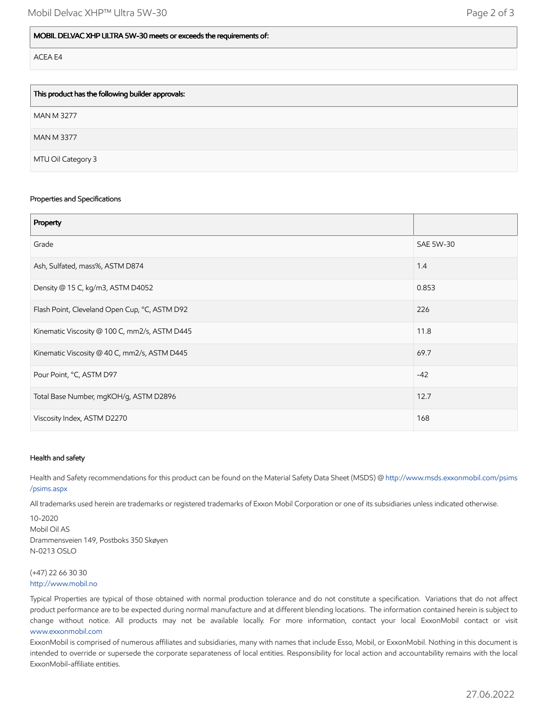| This product has the following builder approvals: |
|---------------------------------------------------|
| <b>MAN M 3277</b>                                 |
| <b>MAN M 3377</b>                                 |
| MTU Oil Category 3                                |

#### Properties and Specifications

| Property                                      |                  |
|-----------------------------------------------|------------------|
| Grade                                         | <b>SAE 5W-30</b> |
| Ash, Sulfated, mass%, ASTM D874               | 1.4              |
| Density @ 15 C, kg/m3, ASTM D4052             | 0.853            |
| Flash Point, Cleveland Open Cup, °C, ASTM D92 | 226              |
| Kinematic Viscosity @ 100 C, mm2/s, ASTM D445 | 11.8             |
| Kinematic Viscosity @ 40 C, mm2/s, ASTM D445  | 69.7             |
| Pour Point, °C, ASTM D97                      | $-42$            |
| Total Base Number, mgKOH/g, ASTM D2896        | 12.7             |
| Viscosity Index, ASTM D2270                   | 168              |

#### Health and safety

Health and Safety recommendations for this product can be found on the Material Safety Data Sheet (MSDS) @ [http://www.msds.exxonmobil.com/psims](http://www.msds.exxonmobil.com/psims/psims.aspx) /psims.aspx

All trademarks used herein are trademarks or registered trademarks of Exxon Mobil Corporation or one of its subsidiaries unless indicated otherwise.

10-2020 Mobil Oil AS Drammensveien 149, Postboks 350 Skøyen N-0213 OSLO

#### (+47) 22 66 30 30 [http://www.mobil.no](http://www.mobil.no/)

Typical Properties are typical of those obtained with normal production tolerance and do not constitute a specification. Variations that do not affect product performance are to be expected during normal manufacture and at different blending locations. The information contained herein is subject to change without notice. All products may not be available locally. For more information, contact your local ExxonMobil contact or visit [www.exxonmobil.com](http://www.exxonmobil.com/)

ExxonMobil is comprised of numerous affiliates and subsidiaries, many with names that include Esso, Mobil, or ExxonMobil. Nothing in this document is intended to override or supersede the corporate separateness of local entities. Responsibility for local action and accountability remains with the local ExxonMobil-affiliate entities.